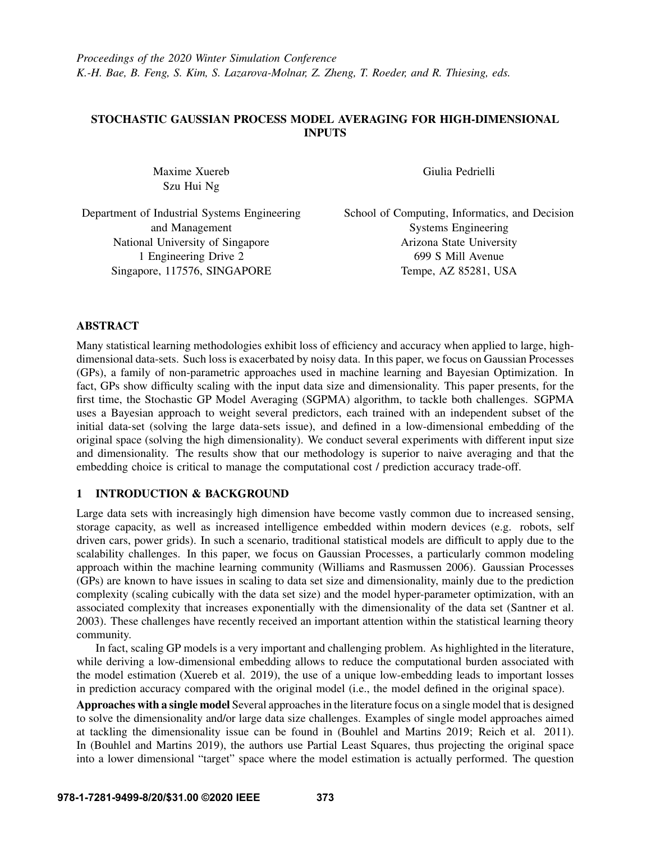# STOCHASTIC GAUSSIAN PROCESS MODEL AVERAGING FOR HIGH-DIMENSIONAL INPUTS

Maxime Xuereb Szu Hui Ng

Giulia Pedrielli

Department of Industrial Systems Engineering and Management National University of Singapore 1 Engineering Drive 2 Singapore, 117576, SINGAPORE

School of Computing, Informatics, and Decision Systems Engineering Arizona State University 699 S Mill Avenue Tempe, AZ 85281, USA

# ABSTRACT

Many statistical learning methodologies exhibit loss of efficiency and accuracy when applied to large, highdimensional data-sets. Such loss is exacerbated by noisy data. In this paper, we focus on Gaussian Processes (GPs), a family of non-parametric approaches used in machine learning and Bayesian Optimization. In fact, GPs show difficulty scaling with the input data size and dimensionality. This paper presents, for the first time, the Stochastic GP Model Averaging (SGPMA) algorithm, to tackle both challenges. SGPMA uses a Bayesian approach to weight several predictors, each trained with an independent subset of the initial data-set (solving the large data-sets issue), and defined in a low-dimensional embedding of the original space (solving the high dimensionality). We conduct several experiments with different input size and dimensionality. The results show that our methodology is superior to naive averaging and that the embedding choice is critical to manage the computational cost / prediction accuracy trade-off.

# 1 INTRODUCTION & BACKGROUND

Large data sets with increasingly high dimension have become vastly common due to increased sensing, storage capacity, as well as increased intelligence embedded within modern devices (e.g. robots, self driven cars, power grids). In such a scenario, traditional statistical models are difficult to apply due to the scalability challenges. In this paper, we focus on Gaussian Processes, a particularly common modeling approach within the machine learning community [\(Williams and Rasmussen 2006\)](#page-11-0). Gaussian Processes (GPs) are known to have issues in scaling to data set size and dimensionality, mainly due to the prediction complexity (scaling cubically with the data set size) and the model hyper-parameter optimization, with an associated complexity that increases exponentially with the dimensionality of the data set [\(Santner et al.](#page-11-1) [2003\)](#page-11-1). These challenges have recently received an important attention within the statistical learning theory community.

In fact, scaling GP models is a very important and challenging problem. As highlighted in the literature, while deriving a low-dimensional embedding allows to reduce the computational burden associated with the model estimation [\(Xuereb et al. 2019\)](#page-11-2), the use of a unique low-embedding leads to important losses in prediction accuracy compared with the original model (i.e., the model defined in the original space).

Approaches with a single model Several approaches in the literature focus on a single model that is designed to solve the dimensionality and/or large data size challenges. Examples of single model approaches aimed at tackling the dimensionality issue can be found in [\(Bouhlel and Martins 2019;](#page-10-0) [Reich et al. 2011\)](#page-11-3). In [\(Bouhlel and Martins 2019\)](#page-10-0), the authors use Partial Least Squares, thus projecting the original space into a lower dimensional "target" space where the model estimation is actually performed. The question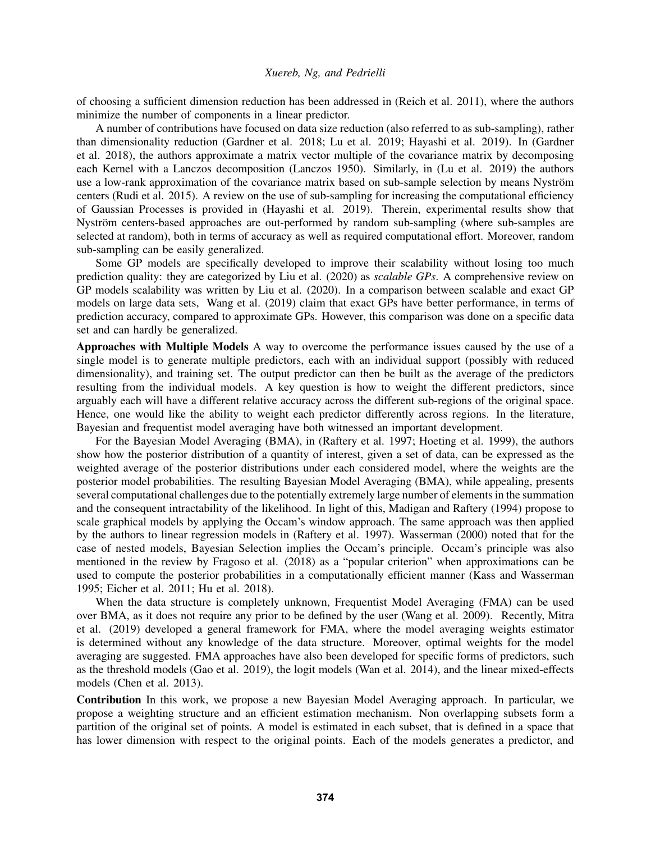of choosing a sufficient dimension reduction has been addressed in [\(Reich et al. 2011\)](#page-11-3), where the authors minimize the number of components in a linear predictor.

A number of contributions have focused on data size reduction (also referred to as sub-sampling), rather than dimensionality reduction [\(Gardner et al. 2018;](#page-10-1) [Lu et al. 2019;](#page-11-4) [Hayashi et al. 2019\)](#page-10-2). In [\(Gardner](#page-10-1) [et al. 2018\)](#page-10-1), the authors approximate a matrix vector multiple of the covariance matrix by decomposing each Kernel with a Lanczos decomposition [\(Lanczos 1950\)](#page-11-5). Similarly, in [\(Lu et al. 2019\)](#page-11-4) the authors use a low-rank approximation of the covariance matrix based on sub-sample selection by means Nyström centers [\(Rudi et al. 2015\)](#page-11-6). A review on the use of sub-sampling for increasing the computational efficiency of Gaussian Processes is provided in [\(Hayashi et al. 2019\)](#page-10-2). Therein, experimental results show that Nyström centers-based approaches are out-performed by random sub-sampling (where sub-samples are selected at random), both in terms of accuracy as well as required computational effort. Moreover, random sub-sampling can be easily generalized.

Some GP models are specifically developed to improve their scalability without losing too much prediction quality: they are categorized by [Liu et al. \(2020\)](#page-11-7) as *scalable GPs*. A comprehensive review on GP models scalability was written by [Liu et al. \(2020\).](#page-11-7) In a comparison between scalable and exact GP models on large data sets, [Wang et al. \(2019\)](#page-11-8) claim that exact GPs have better performance, in terms of prediction accuracy, compared to approximate GPs. However, this comparison was done on a specific data set and can hardly be generalized.

Approaches with Multiple Models A way to overcome the performance issues caused by the use of a single model is to generate multiple predictors, each with an individual support (possibly with reduced dimensionality), and training set. The output predictor can then be built as the average of the predictors resulting from the individual models. A key question is how to weight the different predictors, since arguably each will have a different relative accuracy across the different sub-regions of the original space. Hence, one would like the ability to weight each predictor differently across regions. In the literature, Bayesian and frequentist model averaging have both witnessed an important development.

For the Bayesian Model Averaging (BMA), in [\(Raftery et al. 1997;](#page-11-9) [Hoeting et al. 1999\)](#page-10-3), the authors show how the posterior distribution of a quantity of interest, given a set of data, can be expressed as the weighted average of the posterior distributions under each considered model, where the weights are the posterior model probabilities. The resulting Bayesian Model Averaging (BMA), while appealing, presents several computational challenges due to the potentially extremely large number of elements in the summation and the consequent intractability of the likelihood. In light of this, [Madigan and Raftery \(1994\)](#page-11-10) propose to scale graphical models by applying the Occam's window approach. The same approach was then applied by the authors to linear regression models in [\(Raftery et al. 1997\)](#page-11-9). [Wasserman \(2000\)](#page-11-11) noted that for the case of nested models, Bayesian Selection implies the Occam's principle. Occam's principle was also mentioned in the review by [Fragoso et al. \(2018\)](#page-10-4) as a "popular criterion" when approximations can be used to compute the posterior probabilities in a computationally efficient manner [\(Kass and Wasserman](#page-10-5) [1995;](#page-10-5) [Eicher et al. 2011;](#page-10-6) [Hu et al. 2018\)](#page-10-7).

When the data structure is completely unknown, Frequentist Model Averaging (FMA) can be used over BMA, as it does not require any prior to be defined by the user [\(Wang et al. 2009\)](#page-11-12). Recently, [Mitra](#page-11-13) [et al. \(2019\)](#page-11-13) developed a general framework for FMA, where the model averaging weights estimator is determined without any knowledge of the data structure. Moreover, optimal weights for the model averaging are suggested. FMA approaches have also been developed for specific forms of predictors, such as the threshold models [\(Gao et al. 2019\)](#page-10-8), the logit models [\(Wan et al. 2014\)](#page-11-14), and the linear mixed-effects models [\(Chen et al. 2013\)](#page-10-9).

Contribution In this work, we propose a new Bayesian Model Averaging approach. In particular, we propose a weighting structure and an efficient estimation mechanism. Non overlapping subsets form a partition of the original set of points. A model is estimated in each subset, that is defined in a space that has lower dimension with respect to the original points. Each of the models generates a predictor, and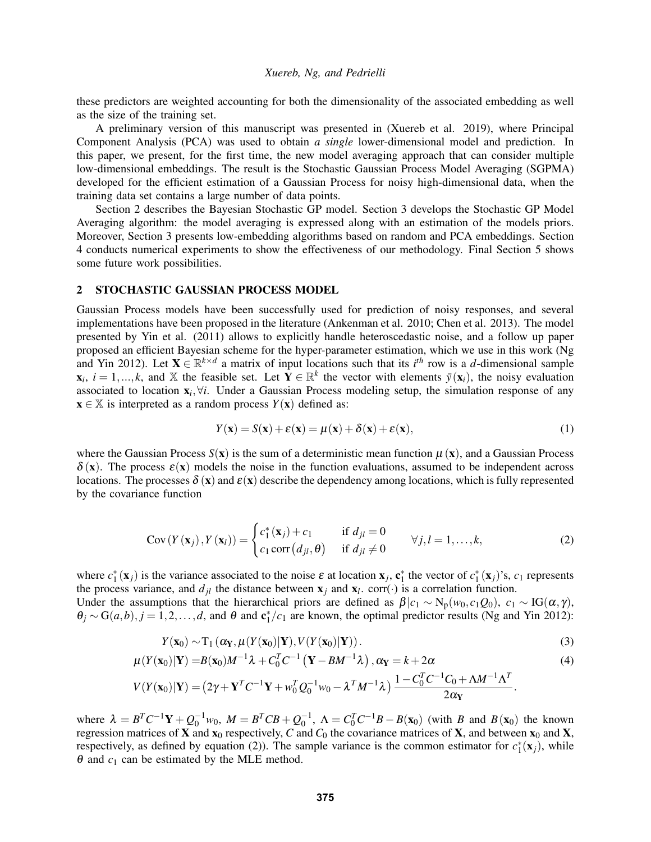these predictors are weighted accounting for both the dimensionality of the associated embedding as well as the size of the training set.

A preliminary version of this manuscript was presented in [\(Xuereb et al. 2019\)](#page-11-2), where Principal Component Analysis (PCA) was used to obtain *a single* lower-dimensional model and prediction. In this paper, we present, for the first time, the new model averaging approach that can consider multiple low-dimensional embeddings. The result is the Stochastic Gaussian Process Model Averaging (SGPMA) developed for the efficient estimation of a Gaussian Process for noisy high-dimensional data, when the training data set contains a large number of data points.

Section [2](#page-2-0) describes the Bayesian Stochastic GP model. Section [3](#page-3-0) develops the Stochastic GP Model Averaging algorithm: the model averaging is expressed along with an estimation of the models priors. Moreover, Section [3](#page-3-0) presents low-embedding algorithms based on random and PCA embeddings. Section [4](#page-7-0) conducts numerical experiments to show the effectiveness of our methodology. Final Section [5](#page-10-10) shows some future work possibilities.

## <span id="page-2-0"></span>2 STOCHASTIC GAUSSIAN PROCESS MODEL

Gaussian Process models have been successfully used for prediction of noisy responses, and several implementations have been proposed in the literature [\(Ankenman et al. 2010;](#page-10-11) [Chen et al. 2013\)](#page-10-12). The model presented by [Yin et al. \(2011\)](#page-11-15) allows to explicitly handle heteroscedastic noise, and a follow up paper proposed an efficient Bayesian scheme for the hyper-parameter estimation, which we use in this work [\(Ng](#page-11-16) [and Yin 2012\)](#page-11-16). Let  $X \in \mathbb{R}^{k \times d}$  a matrix of input locations such that its  $i^{th}$  row is a *d*-dimensional sample  $\mathbf{x}_i$ ,  $i = 1,...,k$ , and X the feasible set. Let  $\mathbf{Y} \in \mathbb{R}^k$  the vector with elements  $\bar{y}(\mathbf{x}_i)$ , the noisy evaluation associated to location  $x_i, \forall i$ . Under a Gaussian Process modeling setup, the simulation response of any  $\mathbf{x} \in \mathbb{X}$  is interpreted as a random process  $Y(\mathbf{x})$  defined as:

<span id="page-2-3"></span>
$$
Y(\mathbf{x}) = S(\mathbf{x}) + \varepsilon(\mathbf{x}) = \mu(\mathbf{x}) + \delta(\mathbf{x}) + \varepsilon(\mathbf{x}),
$$
\n(1)

where the Gaussian Process  $S(x)$  is the sum of a deterministic mean function  $\mu(x)$ , and a Gaussian Process  $\delta(\mathbf{x})$ . The process  $\varepsilon(\mathbf{x})$  models the noise in the function evaluations, assumed to be independent across locations. The processes  $\delta(x)$  and  $\varepsilon(x)$  describe the dependency among locations, which is fully represented by the covariance function

<span id="page-2-1"></span>
$$
Cov(Y(\mathbf{x}_j), Y(\mathbf{x}_l)) = \begin{cases} c_1^*(\mathbf{x}_j) + c_1 & \text{if } d_{jl} = 0\\ c_1 \text{corr}(d_{jl}, \theta) & \text{if } d_{jl} \neq 0 \end{cases} \forall j, l = 1, ..., k,
$$
 (2)

where  $c_1^*(\mathbf{x}_j)$  is the variance associated to the noise  $\varepsilon$  at location  $\mathbf{x}_j$ ,  $\mathbf{c}_1^*$  the vector of  $c_1^*(\mathbf{x}_j)$ 's,  $c_1$  represents the process variance, and  $d_{jl}$  the distance between  $\mathbf{x}_j$  and  $\mathbf{x}_l$ . corr(·) is a correlation function. Under the assumptions that the hierarchical priors are defined as  $\beta | c_1 \sim N_p(w_0, c_1 Q_0)$ ,  $c_1 \sim IG(\alpha, \gamma)$ ,

 $\theta_j \sim G(a,b), j = 1,2,\ldots,d$ , and  $\theta$  and  $c_1^*/c_1$  are known, the optimal predictor results [\(Ng and Yin 2012\)](#page-11-16):

<span id="page-2-2"></span>
$$
Y(\mathbf{x}_0) \sim T_1(\alpha_Y, \mu(Y(\mathbf{x}_0)|\mathbf{Y}), V(Y(\mathbf{x}_0)|\mathbf{Y})).
$$
\n(3)

$$
\mu(Y(\mathbf{x}_0)|\mathbf{Y}) = B(\mathbf{x}_0)M^{-1}\lambda + C_0^T C^{-1} \left(\mathbf{Y} - BM^{-1}\lambda\right), \alpha_{\mathbf{Y}} = k + 2\alpha
$$
\n<sup>(4)</sup>

$$
V(Y(\mathbf{x}_0)|\mathbf{Y}) = (2\gamma + \mathbf{Y}^T C^{-1} \mathbf{Y} + w_0^T Q_0^{-1} w_0 - \lambda^T M^{-1} \lambda) \frac{1 - C_0^T C^{-1} C_0 + \Lambda M^{-1} \Lambda^T}{2\alpha_{\mathbf{Y}}}.
$$

where  $\lambda = B^T C^{-1} Y + Q_0^{-1} w_0$ ,  $M = B^T C B + Q_0^{-1}$ ,  $\Lambda = C_0^T C^{-1} B - B(x_0)$  (with *B* and  $B(x_0)$  the known regression matrices of **X** and  $\mathbf{x}_0$  respectively, *C* and  $C_0$  the covariance matrices of **X**, and between  $\mathbf{x}_0$  and **X**, respectively, as defined by equation [\(2\)](#page-2-1)). The sample variance is the common estimator for  $c_1^*(\mathbf{x}_j)$ , while  $\theta$  and  $c_1$  can be estimated by the MLE method.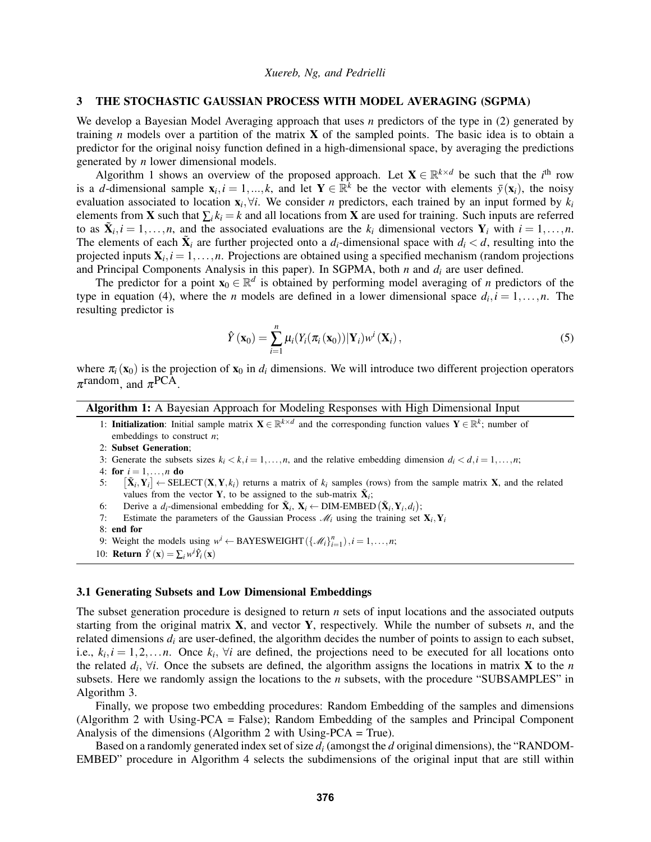### <span id="page-3-0"></span>3 THE STOCHASTIC GAUSSIAN PROCESS WITH MODEL AVERAGING (SGPMA)

We develop a Bayesian Model Averaging approach that uses *n* predictors of the type in [\(2\)](#page-2-1) generated by training *n* models over a partition of the matrix **X** of the sampled points. The basic idea is to obtain a predictor for the original noisy function defined in a high-dimensional space, by averaging the predictions generated by *n* lower dimensional models.

Algorithm [1](#page-3-1) shows an overview of the proposed approach. Let  $X \in \mathbb{R}^{k \times d}$  be such that the *i*<sup>th</sup> row is a *d*-dimensional sample  $\mathbf{x}_i, i = 1,...,k$ , and let  $\mathbf{Y} \in \mathbb{R}^k$  be the vector with elements  $\bar{y}(\mathbf{x}_i)$ , the noisy evaluation associated to location  $\mathbf{x}_i, \forall i$ . We consider *n* predictors, each trained by an input formed by  $k_i$ elements from **X** such that  $\sum_i k_i = k$  and all locations from **X** are used for training. Such inputs are referred to as  $\tilde{\mathbf{X}}_i, i = 1, \ldots, n$ , and the associated evaluations are the  $k_i$  dimensional vectors  $\mathbf{Y}_i$  with  $i = 1, \ldots, n$ . The elements of each  $\tilde{\mathbf{X}}_i$  are further projected onto a  $d_i$ -dimensional space with  $d_i < d$ , resulting into the projected inputs  $X_i$ ,  $i = 1, \ldots, n$ . Projections are obtained using a specified mechanism (random projections and Principal Components Analysis in this paper). In SGPMA, both *n* and *d<sup>i</sup>* are user defined.

The predictor for a point  $\mathbf{x}_0 \in \mathbb{R}^d$  is obtained by performing model averaging of *n* predictors of the type in equation [\(4\)](#page-2-2), where the *n* models are defined in a lower dimensional space  $d_i$ ,  $i = 1, \ldots, n$ . The resulting predictor is

$$
\hat{Y}(\mathbf{x}_0) = \sum_{i=1}^n \mu_i(Y_i(\pi_i(\mathbf{x}_0)) | \mathbf{Y}_i) w^i(\mathbf{X}_i),
$$
\n(5)

where  $\pi_i(\mathbf{x}_0)$  is the projection of  $\mathbf{x}_0$  in  $d_i$  dimensions. We will introduce two different projection operators  $\pi$ <sup>random</sup>, and  $\pi$ <sup>PCA</sup>.

Algorithm 1: A Bayesian Approach for Modeling Responses with High Dimensional Input

- <span id="page-3-1"></span>1: **Initialization**: Initial sample matrix  $X \in \mathbb{R}^{k \times d}$  and the corresponding function values  $Y \in \mathbb{R}^k$ ; number of embeddings to construct *n*;
- 2: Subset Generation;
- 3: Generate the subsets sizes  $k_i < k, i = 1, \ldots, n$ , and the relative embedding dimension  $d_i < d, i = 1, \ldots, n$ ;
- 4: for  $i = 1, ..., n$  do
- $5.$  $\tilde{\mathbf{X}}_i, \mathbf{Y}_i$   $\in$  SELECT( $\mathbf{X}, \mathbf{Y}, k_i$ ) returns a matrix of  $k_i$  samples (rows) from the sample matrix  $\mathbf{X}$ , and the related values from the vector **Y**, to be assigned to the sub-matrix  $\tilde{\mathbf{X}}_i$ ;
- 6: Derive a  $d_i$ -dimensional embedding for  $\tilde{\mathbf{X}}_i$ ,  $\mathbf{X}_i \leftarrow \text{DIM-EMBED}(\tilde{\mathbf{X}}_i, \mathbf{Y}_i, d_i)$ ;
- 7: Estimate the parameters of the Gaussian Process  $\mathcal{M}_i$  using the training set  $\mathbf{X}_i, \mathbf{Y}_i$
- 8: end for
- 9: Weight the models using  $w^{i} \leftarrow BAYESWEIGHT(\{\mathcal{M}_{i}\}_{i=1}^{n}), i = 1, ..., n;$
- 10: **Return**  $\hat{Y}(\mathbf{x}) = \sum_i w^i \hat{Y}_i(\mathbf{x})$

#### 3.1 Generating Subsets and Low Dimensional Embeddings

The subset generation procedure is designed to return *n* sets of input locations and the associated outputs starting from the original matrix X, and vector Y, respectively. While the number of subsets *n*, and the related dimensions  $d_i$  are user-defined, the algorithm decides the number of points to assign to each subset, i.e.,  $k_i$ ,  $i = 1, 2, \ldots n$ . Once  $k_i$ ,  $\forall i$  are defined, the projections need to be executed for all locations onto the related  $d_i$ ,  $\forall i$ . Once the subsets are defined, the algorithm assigns the locations in matrix **X** to the *n* subsets. Here we randomly assign the locations to the *n* subsets, with the procedure "SUBSAMPLES" in Algorithm [3.](#page-4-0)

Finally, we propose two embedding procedures: Random Embedding of the samples and dimensions (Algorithm [2](#page-4-1) with Using-PCA = False); Random Embedding of the samples and Principal Component Analysis of the dimensions (Algorithm [2](#page-4-1) with Using-PCA = True).

Based on a randomly generated index set of size *d<sup>i</sup>* (amongst the *d* original dimensions), the "RANDOM-EMBED" procedure in Algorithm [4](#page-4-2) selects the subdimensions of the original input that are still within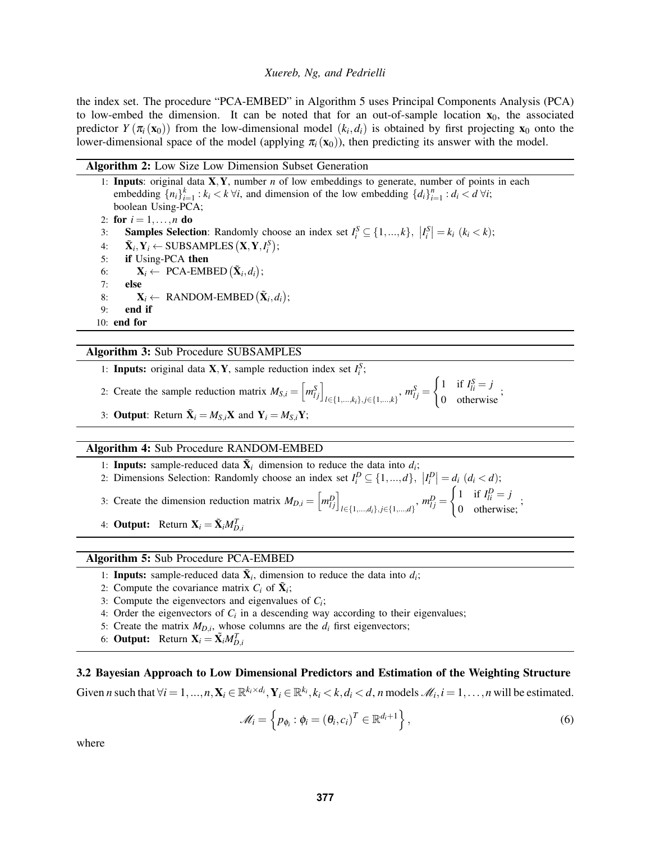the index set. The procedure "PCA-EMBED" in Algorithm [5](#page-4-3) uses Principal Components Analysis (PCA) to low-embed the dimension. It can be noted that for an out-of-sample location  $x_0$ , the associated predictor  $Y(\pi_i(\mathbf{x}_0))$  from the low-dimensional model  $(k_i, d_i)$  is obtained by first projecting  $\mathbf{x}_0$  onto the lower-dimensional space of the model (applying  $\pi_i(\mathbf{x}_0)$ ), then predicting its answer with the model.

### <span id="page-4-1"></span>Algorithm 2: Low Size Low Dimension Subset Generation

1: Inputs: original data X,Y, number *n* of low embeddings to generate, number of points in each embedding  $\{n_i\}_{i=1}^k : k_i \lt k \forall i$ , and dimension of the low embedding  $\{d_i\}_{i=1}^n : d_i \lt d \forall i$ ; boolean Using-PCA; 2: for  $i = 1, ..., n$  do 3: **Samples Selection**: Randomly choose an index set  $I_i^S \subseteq \{1, ..., k\}$ ,  $|I_i^S| = k_i$  ( $k_i < k$ ); 4:  $\tilde{\mathbf{X}}_i, \mathbf{Y}_i \leftarrow \text{SUBSAMPLES}(\mathbf{X}, \mathbf{Y}, I_i^S);$ 5: if Using-PCA then 6:  $\mathbf{X}_i \leftarrow \text{PCA-EMBED } (\tilde{\mathbf{X}}_i, d_i);$ 7: else 8:  $\mathbf{X}_i \leftarrow \text{ RANDOM-EMBED } (\tilde{\mathbf{X}}_i, d_i);$ 9: end if 10: end for

### <span id="page-4-0"></span>Algorithm 3: Sub Procedure SUBSAMPLES

- 1: **Inputs:** original data **X**, **Y**, sample reduction index set  $I_i^S$ ;
- 2: Create the sample reduction matrix  $M_{S,i} = \left[m_{lj}^S\right]_{l \in \{1,\dots,k_i\}, j \in \{1,\dots,k\}}$ ,  $m_{lj}^S =$  $\int 1$  if  $I_{li}^S = j$  $\frac{1}{10}$  otherwise<sup>;</sup>
- 3: **Output**: Return  $\tilde{\mathbf{X}}_i = M_{S,i} \mathbf{X}$  and  $\mathbf{Y}_i = M_{S,i} \mathbf{Y}$ ;

#### <span id="page-4-2"></span>Algorithm 4: Sub Procedure RANDOM-EMBED

- 1: **Inputs:** sample-reduced data  $\tilde{\mathbf{X}}_i$  dimension to reduce the data into  $d_i$ ;
- 2: Dimensions Selection: Randomly choose an index set  $I_i^D \subseteq \{1, ..., d\}$ ,  $|I_i^D| = d_i$   $(d_i < d)$ ;

3: Create the dimension reduction matrix  $M_{D,i} = \left[m_{lj}^D\right]_{l \in \{1,\dots,d_i\}, j \in \{1,\dots,d\}}$ ,  $m_{lj}^D =$ 

4: **Output:** Return  $\mathbf{X}_i = \tilde{\mathbf{X}}_i M_{D,i}^T$ 

### <span id="page-4-3"></span>Algorithm 5: Sub Procedure PCA-EMBED

- 1: **Inputs:** sample-reduced data  $\tilde{\mathbf{X}}_i$ , dimension to reduce the data into  $d_i$ ;
- 2: Compute the covariance matrix  $C_i$  of  $\tilde{\mathbf{X}}_i$ ;
- 3: Compute the eigenvectors and eigenvalues of  $C_i$ ;
- 4: Order the eigenvectors of  $C_i$  in a descending way according to their eigenvalues;
- 5: Create the matrix  $M_{D,i}$ , whose columns are the  $d_i$  first eigenvectors;
- 6: **Output:** Return  $\mathbf{X}_i = \tilde{\mathbf{X}}_i M_{D,i}^T$

# 3.2 Bayesian Approach to Low Dimensional Predictors and Estimation of the Weighting Structure

Given *n* such that  $\forall i = 1,...,n$ ,  $\mathbf{X}_i \in \mathbb{R}^{k_i \times d_i}$ ,  $\mathbf{Y}_i \in \mathbb{R}^{k_i}$ ,  $k_i < k$ ,  $d_i < d$ , *n* models  $\mathcal{M}_i$ ,  $i = 1,...,n$  will be estimated.

<span id="page-4-4"></span>
$$
\mathscr{M}_i = \left\{ p_{\phi_i} : \phi_i = \left( \theta_i, c_i \right)^T \in \mathbb{R}^{d_i + 1} \right\},\tag{6}
$$

 $\int 1$  if  $I_{li}^D = j$  $\frac{1}{10}$  otherwise;

where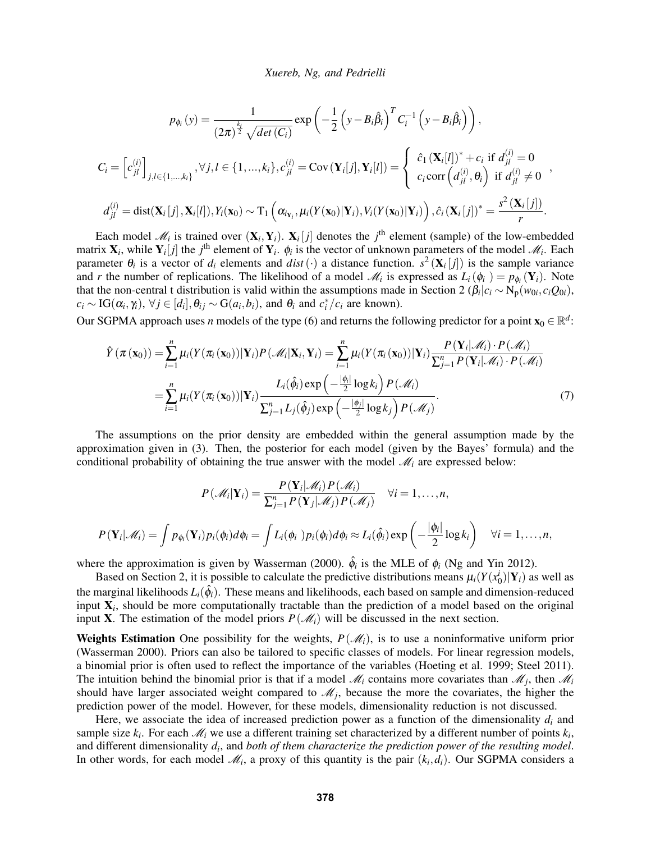$$
p_{\phi_i}(y) = \frac{1}{(2\pi)^{\frac{k_i}{2}}\sqrt{\det(C_i)}} \exp\left(-\frac{1}{2}\left(y - B_i\hat{\beta}_i\right)^T C_i^{-1} \left(y - B_i\hat{\beta}_i\right)\right),
$$
  
\n
$$
C_i = \left[c_{jl}^{(i)}\right]_{j,l \in \{1,...,k_i\}}, \forall j,l \in \{1,...,k_i\}, c_{jl}^{(i)} = \text{Cov}\left(\mathbf{Y}_i[j], \mathbf{Y}_i[l]\right) = \begin{cases} \hat{c}_1 \left(\mathbf{X}_i[l]\right)^* + c_i \text{ if } d_{jl}^{(i)} = 0\\ c_i \text{ corr}\left(d_{jl}^{(i)}, \theta_i\right) \text{ if } d_{jl}^{(i)} \neq 0\\ d_{jl}^{(i)} = \text{dist}(\mathbf{X}_i[j], \mathbf{X}_i[l]), Y_i(\mathbf{x}_0) \sim \text{T}_1\left(\alpha_{i_{\mathbf{Y}_i}}, \mu_i(Y(\mathbf{x}_0)|\mathbf{Y}_i), V_i(Y(\mathbf{x}_0)|\mathbf{Y}_i)\right), \hat{c}_i \left(\mathbf{X}_i[j]\right)^* = \frac{s^2 \left(\mathbf{X}_i[j]\right)}{r}.\end{cases}
$$

Each model  $\mathcal{M}_i$  is trained over  $(\mathbf{X}_i, \mathbf{Y}_i)$ .  $\mathbf{X}_i[j]$  denotes the *j*<sup>th</sup> element (sample) of the low-embedded matrix  $X_i$ , while  $Y_i[j]$  the *j*<sup>th</sup> element of  $Y_i$ .  $\phi_i$  is the vector of unknown parameters of the model  $\mathcal{M}_i$ . Each parameter  $\theta_i$  is a vector of  $d_i$  elements and  $dist(\cdot)$  a distance function.  $s^2(\mathbf{X}_i[j])$  is the sample variance and *r* the number of replications. The likelihood of a model  $\mathcal{M}_i$  is expressed as  $L_i(\phi_i) = p_{\phi_i}(\mathbf{Y}_i)$ . Note that the non-central t distribution is valid within the assumptions made in Section [2](#page-2-0) ( $\beta_i|c_i \sim N_p(w_{0i}, c_i Q_{0i})$ ,  $c_i \sim \text{IG}(\alpha_i, \gamma_i), \forall j \in [d_i], \theta_{ij} \sim \text{G}(a_i, b_i)$ , and  $\theta_i$  and  $c_i^*/c_i$  are known).

Our SGPMA approach uses *n* models of the type [\(6\)](#page-4-4) and returns the following predictor for a point  $\mathbf{x}_0 \in \mathbb{R}^d$ .

$$
\hat{Y}(\pi(\mathbf{x}_0)) = \sum_{i=1}^n \mu_i (Y(\pi_i(\mathbf{x}_0)) | \mathbf{Y}_i) P(\mathcal{M}_i | \mathbf{X}_i, \mathbf{Y}_i) = \sum_{i=1}^n \mu_i (Y(\pi_i(\mathbf{x}_0)) | \mathbf{Y}_i) \frac{P(\mathbf{Y}_i | \mathcal{M}_i) \cdot P(\mathcal{M}_i)}{\sum_{j=1}^n P(\mathbf{Y}_i | \mathcal{M}_i) \cdot P(\mathcal{M}_i)}
$$
\n
$$
= \sum_{i=1}^n \mu_i (Y(\pi_i(\mathbf{x}_0)) | \mathbf{Y}_i) \frac{L_i(\hat{\phi}_i) \exp\left(-\frac{|\phi_i|}{2} \log k_i\right) P(\mathcal{M}_i)}{\sum_{j=1}^n L_j(\hat{\phi}_j) \exp\left(-\frac{|\phi_j|}{2} \log k_j\right) P(\mathcal{M}_j)}.
$$
\n(7)

The assumptions on the prior density are embedded within the general assumption made by the approximation given in [\(3\)](#page-2-3). Then, the posterior for each model (given by the Bayes' formula) and the conditional probability of obtaining the true answer with the model  $\mathcal{M}_i$  are expressed below:

$$
P(\mathcal{M}_i|\mathbf{Y}_i) = \frac{P(\mathbf{Y}_i|\mathcal{M}_i)P(\mathcal{M}_i)}{\sum_{j=1}^n P(\mathbf{Y}_j|\mathcal{M}_j)P(\mathcal{M}_j)} \quad \forall i = 1,\ldots,n,
$$
  

$$
P(\mathbf{Y}_i|\mathcal{M}_i) = \int p_{\phi_i}(\mathbf{Y}_i)p_i(\phi_i)d\phi_i = \int L_i(\phi_i)p_i(\phi_i)d\phi_i \approx L_i(\hat{\phi}_i)\exp\left(-\frac{|\phi_i|}{2}\log k_i\right) \quad \forall i = 1,\ldots,n,
$$

where the approximation is given by [Wasserman \(2000\).](#page-11-11)  $\hat{\phi}_i$  is the MLE of  $\phi_i$  [\(Ng and Yin 2012\)](#page-11-16).

Based on Section [2,](#page-2-0) it is possible to calculate the predictive distributions means  $\mu_i(Y(x_0^i)|\mathbf{Y}_i)$  as well as the marginal likelihoods  $L_i(\hat{\phi}_i)$ . These means and likelihoods, each based on sample and dimension-reduced input X*<sup>i</sup>* , should be more computationally tractable than the prediction of a model based on the original input **X**. The estimation of the model priors  $P(\mathcal{M}_i)$  will be discussed in the next section.

**Weights Estimation** One possibility for the weights,  $P(\mathcal{M}_i)$ , is to use a noninformative uniform prior [\(Wasserman 2000\)](#page-11-11). Priors can also be tailored to specific classes of models. For linear regression models, a binomial prior is often used to reflect the importance of the variables [\(Hoeting et al. 1999;](#page-10-3) [Steel 2011\)](#page-11-17). The intuition behind the binomial prior is that if a model  $\mathcal{M}_i$  contains more covariates than  $\mathcal{M}_j$ , then  $\mathcal{M}_i$ should have larger associated weight compared to  $\mathcal{M}_j$ , because the more the covariates, the higher the prediction power of the model. However, for these models, dimensionality reduction is not discussed.

Here, we associate the idea of increased prediction power as a function of the dimensionality  $d_i$  and sample size  $k_i$ . For each  $\mathcal{M}_i$  we use a different training set characterized by a different number of points  $k_i$ , and different dimensionality *d<sup>i</sup>* , and *both of them characterize the prediction power of the resulting model*. In other words, for each model  $\mathcal{M}_i$ , a proxy of this quantity is the pair  $(k_i, d_i)$ . Our SGPMA considers a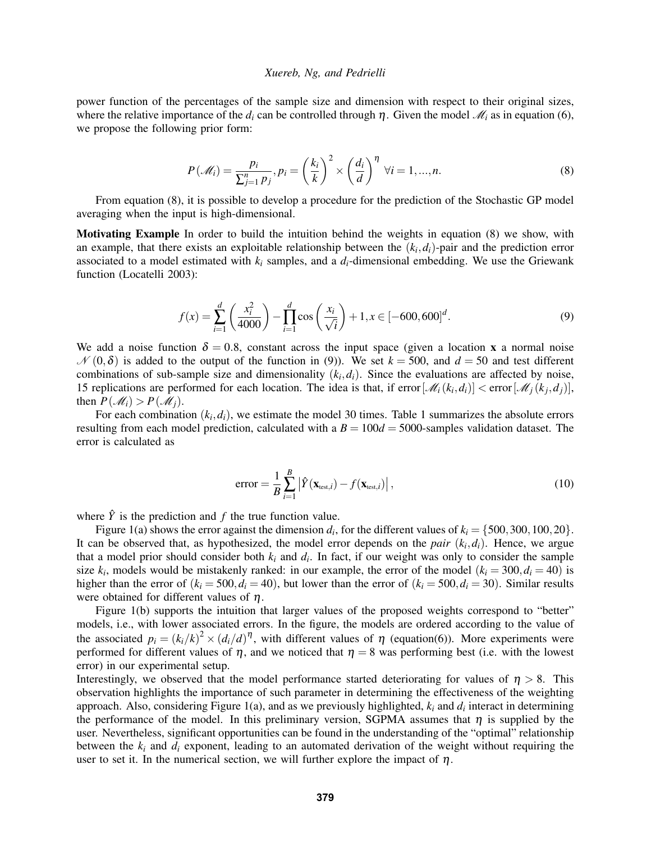power function of the percentages of the sample size and dimension with respect to their original sizes, where the relative importance of the  $d_i$  can be controlled through  $\eta$ . Given the model  $\mathcal{M}_i$  as in equation [\(6\)](#page-4-4), we propose the following prior form:

<span id="page-6-0"></span>
$$
P(\mathcal{M}_i) = \frac{p_i}{\sum_{j=1}^n p_j}, p_i = \left(\frac{k_i}{k}\right)^2 \times \left(\frac{d_i}{d}\right)^{\eta} \forall i = 1, ..., n.
$$
 (8)

From equation [\(8\)](#page-6-0), it is possible to develop a procedure for the prediction of the Stochastic GP model averaging when the input is high-dimensional.

Motivating Example In order to build the intuition behind the weights in equation [\(8\)](#page-6-0) we show, with an example, that there exists an exploitable relationship between the  $(k_i, d_i)$ -pair and the prediction error associated to a model estimated with  $k_i$  samples, and a  $d_i$ -dimensional embedding. We use the Griewank function [\(Locatelli 2003\)](#page-11-18):

<span id="page-6-1"></span>
$$
f(x) = \sum_{i=1}^{d} \left( \frac{x_i^2}{4000} \right) - \prod_{i=1}^{d} \cos \left( \frac{x_i}{\sqrt{i}} \right) + 1, x \in [-600, 600]^d.
$$
 (9)

We add a noise function  $\delta = 0.8$ , constant across the input space (given a location x a normal noise  $\mathcal{N}(0,\delta)$  is added to the output of the function in [\(9\)](#page-6-1)). We set  $k = 500$ , and  $d = 50$  and test different combinations of sub-sample size and dimensionality  $(k_i, d_i)$ . Since the evaluations are affected by noise, 15 replications are performed for each location. The idea is that, if error  $[\mathcal{M}_i(k_i, d_i)] <$  error  $[\mathcal{M}_j(k_j, d_j)]$ , then  $P(\mathcal{M}_i) > P(\mathcal{M}_i)$ .

For each combination  $(k_i, d_i)$ , we estimate the model 30 times. Table [1](#page-7-1) summarizes the absolute errors resulting from each model prediction, calculated with a  $B = 100d = 5000$ -samples validation dataset. The error is calculated as

<span id="page-6-2"></span>
$$
error = \frac{1}{B} \sum_{i=1}^{B} \left| \hat{Y}(\mathbf{x}_{\text{test},i}) - f(\mathbf{x}_{\text{test},i}) \right|,
$$
\n(10)

where  $\hat{Y}$  is the prediction and  $f$  the true function value.

Figure [1\(a\)](#page-7-2) shows the error against the dimension  $d_i$ , for the different values of  $k_i = \{500, 300, 100, 20\}$ . It can be observed that, as hypothesized, the model error depends on the *pair*  $(k_i, d_i)$ . Hence, we argue that a model prior should consider both  $k_i$  and  $d_i$ . In fact, if our weight was only to consider the sample size  $k_i$ , models would be mistakenly ranked: in our example, the error of the model  $(k_i = 300, d_i = 40)$  is higher than the error of  $(k_i = 500, d_i = 40)$ , but lower than the error of  $(k_i = 500, d_i = 30)$ . Similar results were obtained for different values of  $\eta$ .

Figure [1\(b\)](#page-7-3) supports the intuition that larger values of the proposed weights correspond to "better" models, i.e., with lower associated errors. In the figure, the models are ordered according to the value of the associated  $p_i = (k_i/k)^2 \times (d_i/d)^{\eta}$ , with different values of  $\eta$  (equation[\(6\)](#page-4-4)). More experiments were performed for different values of  $\eta$ , and we noticed that  $\eta = 8$  was performing best (i.e. with the lowest error) in our experimental setup.

Interestingly, we observed that the model performance started deteriorating for values of  $\eta > 8$ . This observation highlights the importance of such parameter in determining the effectiveness of the weighting approach. Also, considering Figure [1\(a\),](#page-7-2) and as we previously highlighted, *k<sup>i</sup>* and *d<sup>i</sup>* interact in determining the performance of the model. In this preliminary version, SGPMA assumes that  $\eta$  is supplied by the user. Nevertheless, significant opportunities can be found in the understanding of the "optimal" relationship between the  $k_i$  and  $d_i$  exponent, leading to an automated derivation of the weight without requiring the user to set it. In the numerical section, we will further explore the impact of  $\eta$ .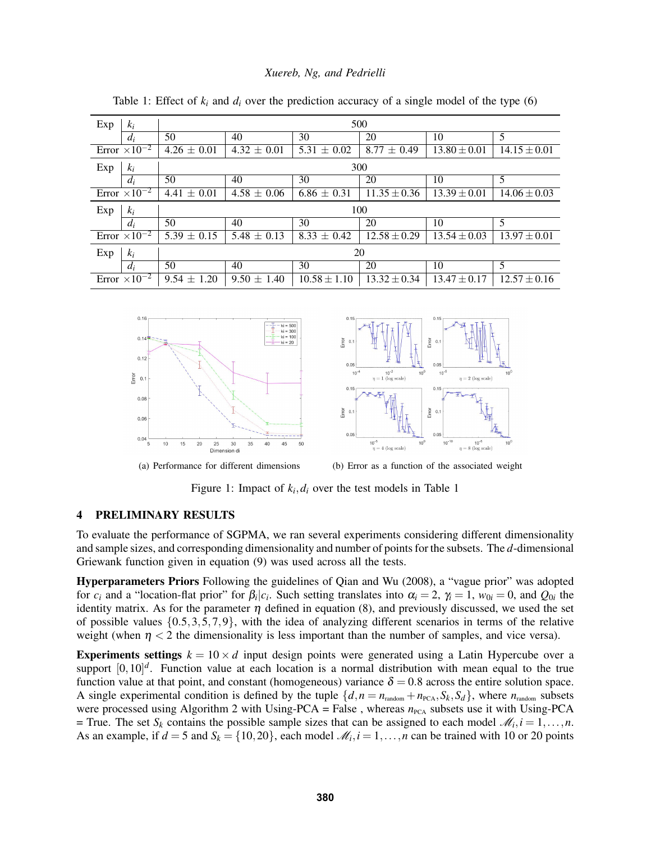| Exp<br>$k_i$           | 500             |                 |                 |                  |                  |                  |  |
|------------------------|-----------------|-----------------|-----------------|------------------|------------------|------------------|--|
| $d_i$                  | 50              | 40              | 30              | 20               | 10               | 5                |  |
| Error $\times 10^{-2}$ | $4.26 \pm 0.01$ | $4.32 \pm 0.01$ | $5.31 \pm 0.02$ | $8.77 \pm 0.49$  | $13.80 \pm 0.01$ | $14.15 \pm 0.01$ |  |
| Exp<br>$k_i$           | 300             |                 |                 |                  |                  |                  |  |
| $d_i$                  | 50              | 40              | 30              | 20               | 10               | 5                |  |
| Error $\times 10^{-2}$ | $4.41 \pm 0.01$ | $4.58 \pm 0.06$ | $6.86 \pm 0.31$ | $11.35 \pm 0.36$ | $13.39 \pm 0.01$ | $14.06 \pm 0.03$ |  |
|                        |                 |                 |                 |                  |                  |                  |  |
| Exp<br>$k_i$           |                 |                 |                 | 100              |                  |                  |  |
| $d_i$                  | 50              | 40              | 30              | 20               | 10               | 5                |  |
| Error $\times 10^{-2}$ | $5.39 \pm 0.15$ | $5.48 \pm 0.13$ | $8.33 \pm 0.42$ | $12.58 \pm 0.29$ | $13.54 \pm 0.03$ | $13.97 \pm 0.01$ |  |
| Exp<br>$k_i$           |                 |                 |                 | 20               |                  |                  |  |
| $d_i$                  | 50              | 40              | 30              | 20               | 10               | 5                |  |

<span id="page-7-1"></span>Table 1: Effect of  $k_i$  and  $d_i$  over the prediction accuracy of a single model of the type [\(6\)](#page-4-4)

<span id="page-7-2"></span>

<span id="page-7-3"></span>

(a) Performance for different dimensions (b) Error as a function of the associated weight

Figure [1](#page-7-1): Impact of  $k_i$ ,  $d_i$  over the test models in Table 1

# <span id="page-7-0"></span>4 PRELIMINARY RESULTS

To evaluate the performance of SGPMA, we ran several experiments considering different dimensionality and sample sizes, and corresponding dimensionality and number of points for the subsets. The *d*-dimensional Griewank function given in equation [\(9\)](#page-6-1) was used across all the tests.

Hyperparameters Priors Following the guidelines of [Qian and Wu \(2008\),](#page-11-19) a "vague prior" was adopted for  $c_i$  and a "location-flat prior" for  $\beta_i | c_i$ . Such setting translates into  $\alpha_i = 2$ ,  $\gamma_i = 1$ ,  $w_{0i} = 0$ , and  $Q_{0i}$  the identity matrix. As for the parameter  $\eta$  defined in equation [\(8\)](#page-6-0), and previously discussed, we used the set of possible values  $\{0.5,3,5,7,9\}$ , with the idea of analyzing different scenarios in terms of the relative weight (when  $\eta < 2$  the dimensionality is less important than the number of samples, and vice versa).

**Experiments settings**  $k = 10 \times d$  input design points were generated using a Latin Hypercube over a support  $[0,10]^d$ . Function value at each location is a normal distribution with mean equal to the true function value at that point, and constant (homogeneous) variance  $\delta = 0.8$  across the entire solution space. A single experimental condition is defined by the tuple  $\{d, n = n_{\text{random}} + n_{\text{PCA}}, S_k, S_d\}$ , where  $n_{\text{random}}$  subsets were processed using Algorithm [2](#page-4-1) with Using-PCA = False, whereas  $n_{PCA}$  subsets use it with Using-PCA  $=$  True. The set *S<sub>k</sub>* contains the possible sample sizes that can be assigned to each model  $\mathcal{M}_i$ ,  $i = 1, \ldots, n$ . As an example, if  $d = 5$  and  $S_k = \{10, 20\}$ , each model  $\mathcal{M}_i$ ,  $i = 1, \ldots, n$  can be trained with 10 or 20 points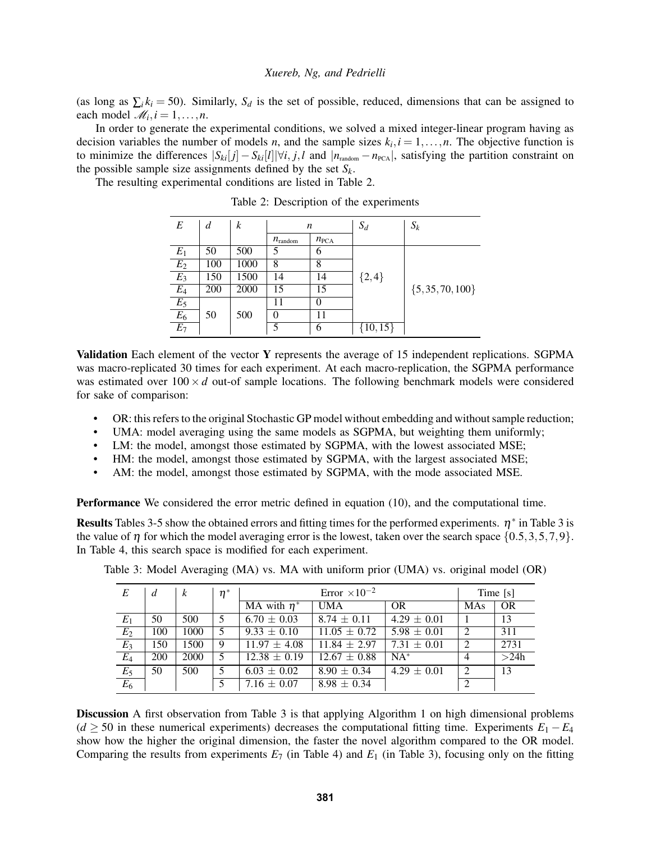(as long as  $\sum_i k_i = 50$ ). Similarly,  $S_d$  is the set of possible, reduced, dimensions that can be assigned to each model  $\mathcal{M}_i$ ,  $i = 1, \ldots, n$ .

In order to generate the experimental conditions, we solved a mixed integer-linear program having as decision variables the number of models *n*, and the sample sizes  $k_i$ ,  $i = 1, ..., n$ . The objective function is to minimize the differences  $|S_{ki}[j] - S_{ki}[l]| \forall i, j, l$  and  $|n_{\text{random}} - n_{\text{PCA}}|$ , satisfying the partition constraint on the possible sample size assignments defined by the set *Sk*.

The resulting experimental conditions are listed in Table [2.](#page-8-0)

| E                | d   | $\boldsymbol{k}$ | n                   |                  | $S_d$        | $S_k$                |
|------------------|-----|------------------|---------------------|------------------|--------------|----------------------|
|                  |     |                  | $n_{\text{random}}$ | $n_{\text{PCA}}$ |              |                      |
| $E_1$            | 50  | 500              | 5                   | 6                |              |                      |
| $\overline{E_2}$ | 100 | 1000             | 8                   | 8                |              |                      |
| $E_3$            | 150 | 1500             | 14                  | 14               | ${2,4}$      |                      |
| $E_4$            | 200 | 2000             | 15                  | 15               |              | $\{5, 35, 70, 100\}$ |
| $\mathcal{E}_5$  |     |                  | 11                  | $\theta$         |              |                      |
| $E_6$            | 50  | 500              | $\theta$            | 11               |              |                      |
| $E_7$            |     |                  |                     | 6                | $\{10, 15\}$ |                      |

<span id="page-8-0"></span>Table 2: Description of the experiments

Validation Each element of the vector Y represents the average of 15 independent replications. SGPMA was macro-replicated 30 times for each experiment. At each macro-replication, the SGPMA performance was estimated over  $100 \times d$  out-of sample locations. The following benchmark models were considered for sake of comparison:

- OR: this refers to the original Stochastic GP model without embedding and without sample reduction;
- UMA: model averaging using the same models as SGPMA, but weighting them uniformly;
- LM: the model, amongst those estimated by SGPMA, with the lowest associated MSE;
- HM: the model, amongst those estimated by SGPMA, with the largest associated MSE;
- AM: the model, amongst those estimated by SGPMA, with the mode associated MSE.

Performance We considered the error metric defined in equation [\(10\)](#page-6-2), and the computational time.

Results Tables [3-](#page-8-1)[5](#page-9-0) show the obtained errors and fitting times for the performed experiments.  $\eta^*$  in Table [3](#page-8-1) is the value of  $\eta$  for which the model averaging error is the lowest, taken over the search space  $\{0.5,3,5,7,9\}$ . In Table [4,](#page-9-1) this search space is modified for each experiment.

<span id="page-8-1"></span>

| E                 | d   | $\boldsymbol{k}$ | $\eta^*$ | Error $\times 10^{-2}$ |                  |                 | Time [s]       |           |
|-------------------|-----|------------------|----------|------------------------|------------------|-----------------|----------------|-----------|
|                   |     |                  |          | MA with $\eta^*$       | <b>UMA</b>       | <b>OR</b>       | <b>MAs</b>     | <b>OR</b> |
| $E_1$             | 50  | 500              | 5        | $6.70 \pm 0.03$        | $8.74 \pm 0.11$  | $4.29 \pm 0.01$ |                | 13        |
| $E_2$             | 100 | 1000             |          | $9.33 \pm 0.10$        | $11.05 \pm 0.72$ | $5.98 \pm 0.01$ | 2              | 311       |
| $E_3$             | 150 | 1500             | 9        | $11.97 \pm 4.08$       | $11.84 \pm 2.97$ | $7.31 \pm 0.01$ | $\overline{2}$ | 2731      |
| $E_4$             | 200 | 2000             | 5        | $12.38 \pm 0.19$       | $12.67 \pm 0.88$ | $NA^*$          | $\overline{4}$ | >24h      |
| $\frac{E_5}{E_6}$ | 50  | 500              | 5        | $6.03 \pm 0.02$        | $8.90 \pm 0.34$  | $4.29 \pm 0.01$ | 2              | 13        |
|                   |     |                  |          | 7.16 $\pm$ 0.07        | $8.98 \pm 0.34$  |                 | 2              |           |

Table 3: Model Averaging (MA) vs. MA with uniform prior (UMA) vs. original model (OR)

Discussion A first observation from Table [3](#page-8-1) is that applying Algorithm [1](#page-3-1) on high dimensional problems  $(d \geq 50$  in these numerical experiments) decreases the computational fitting time. Experiments  $E_1 - E_4$ show how the higher the original dimension, the faster the novel algorithm compared to the OR model. Comparing the results from experiments  $E_7$  (in Table [4\)](#page-9-1) and  $E_1$  (in Table [3\)](#page-8-1), focusing only on the fitting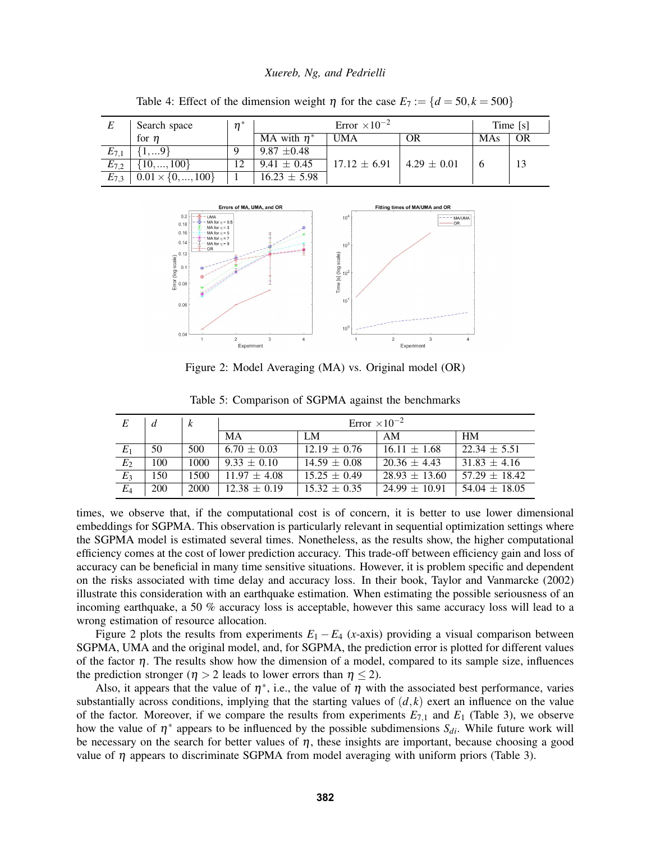|           | Search space               | $n^*$ | Error $\times 10^{-2}$ |                  |                 | Time [s]   |    |
|-----------|----------------------------|-------|------------------------|------------------|-----------------|------------|----|
|           | for $n$                    |       | MA with $\eta^*$       | <b>UMA</b>       | ОR              | <b>MAs</b> | OR |
| $E_{7,1}$ | 1,9                        |       | $9.87 \pm 0.48$        |                  |                 |            |    |
| $E_{7,2}$ | $\{10, , 100\}$            |       | $9.41 \pm 0.45$        | $17.12 \pm 6.91$ | $4.29 \pm 0.01$ |            |    |
| $E_{7,3}$ | $0.01 \times \{0, , 100\}$ |       | $16.23 \pm 5.98$       |                  |                 |            |    |

<span id="page-9-1"></span>Table 4: Effect of the dimension weight  $\eta$  for the case  $E_7 := \{d = 50, k = 500\}$ 



<span id="page-9-2"></span>Figure 2: Model Averaging (MA) vs. Original model (OR)

| E     | d          | k    | Error $\times 10^{-2}$ |                  |                   |                   |  |
|-------|------------|------|------------------------|------------------|-------------------|-------------------|--|
|       |            |      | MA                     | LM               | AM                | <b>HM</b>         |  |
| $E_1$ | 50         | 500  | $6.70 \pm 0.03$        | $12.19 \pm 0.76$ | $16.11 \pm 1.68$  | $22.34 \pm 5.51$  |  |
| $E_2$ | 100        | 1000 | $9.33 \pm 0.10$        | $14.59 \pm 0.08$ | $20.36 \pm 4.43$  | $31.83 \pm 4.16$  |  |
| $E_3$ | 150        | 1500 | $11.97 \pm 4.08$       | $15.25 \pm 0.49$ | $28.93 \pm 13.60$ | $57.29 + 18.42$   |  |
| $E_4$ | <b>200</b> | 2000 | $12.38 \pm 0.19$       | $15.32 \pm 0.35$ | $24.99 \pm 10.91$ | $54.04 \pm 18.05$ |  |

<span id="page-9-0"></span>Table 5: Comparison of SGPMA against the benchmarks

times, we observe that, if the computational cost is of concern, it is better to use lower dimensional embeddings for SGPMA. This observation is particularly relevant in sequential optimization settings where the SGPMA model is estimated several times. Nonetheless, as the results show, the higher computational efficiency comes at the cost of lower prediction accuracy. This trade-off between efficiency gain and loss of accuracy can be beneficial in many time sensitive situations. However, it is problem specific and dependent on the risks associated with time delay and accuracy loss. In their book, [Taylor and Vanmarcke \(2002\)](#page-11-20) illustrate this consideration with an earthquake estimation. When estimating the possible seriousness of an incoming earthquake, a 50 % accuracy loss is acceptable, however this same accuracy loss will lead to a wrong estimation of resource allocation.

Figure [2](#page-9-2) plots the results from experiments  $E_1 - E_4$  (*x*-axis) providing a visual comparison between SGPMA, UMA and the original model, and, for SGPMA, the prediction error is plotted for different values of the factor  $\eta$ . The results show how the dimension of a model, compared to its sample size, influences the prediction stronger ( $\eta > 2$  leads to lower errors than  $\eta \leq 2$ ).

Also, it appears that the value of  $\eta^*$ , i.e., the value of  $\eta$  with the associated best performance, varies substantially across conditions, implying that the starting values of  $(d, k)$  exert an influence on the value of the factor. Moreover, if we compare the results from experiments  $E_{7,1}$  and  $E_1$  (Table [3\)](#page-8-1), we observe how the value of  $\eta^*$  appears to be influenced by the possible subdimensions  $S_{di}$ . While future work will be necessary on the search for better values of  $\eta$ , these insights are important, because choosing a good value of  $\eta$  appears to discriminate SGPMA from model averaging with uniform priors (Table [3\)](#page-8-1).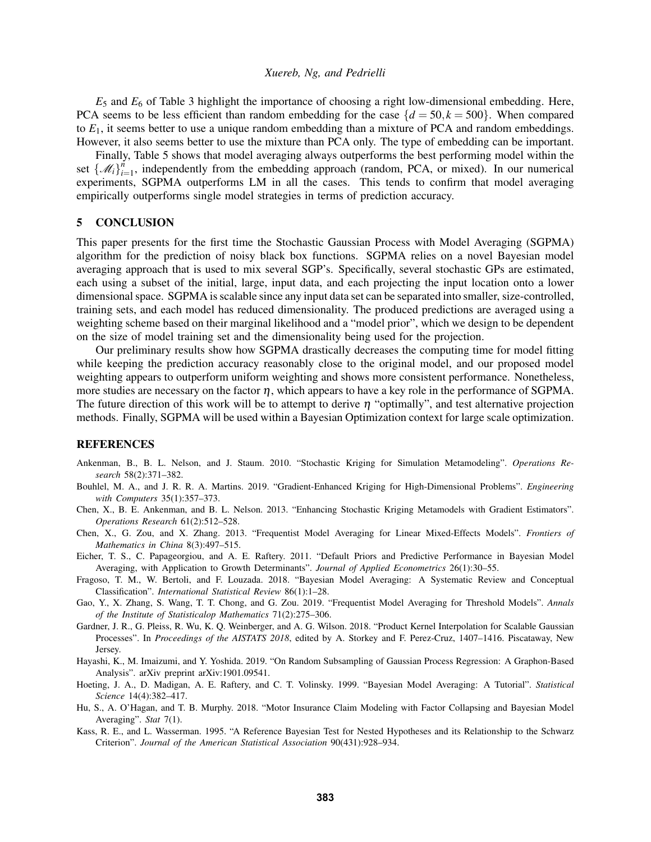$E_5$  and  $E_6$  of Table [3](#page-8-1) highlight the importance of choosing a right low-dimensional embedding. Here, PCA seems to be less efficient than random embedding for the case  ${d = 50, k = 500}$ . When compared to *E*1, it seems better to use a unique random embedding than a mixture of PCA and random embeddings. However, it also seems better to use the mixture than PCA only. The type of embedding can be important.

Finally, Table [5](#page-9-0) shows that model averaging always outperforms the best performing model within the set  $\{\mathcal{M}_i\}_{i=1}^n$  $\sum_{i=1}^{n}$ , independently from the embedding approach (random, PCA, or mixed). In our numerical experiments, SGPMA outperforms LM in all the cases. This tends to confirm that model averaging empirically outperforms single model strategies in terms of prediction accuracy.

## <span id="page-10-10"></span>5 CONCLUSION

This paper presents for the first time the Stochastic Gaussian Process with Model Averaging (SGPMA) algorithm for the prediction of noisy black box functions. SGPMA relies on a novel Bayesian model averaging approach that is used to mix several SGP's. Specifically, several stochastic GPs are estimated, each using a subset of the initial, large, input data, and each projecting the input location onto a lower dimensional space. SGPMA is scalable since any input data set can be separated into smaller, size-controlled, training sets, and each model has reduced dimensionality. The produced predictions are averaged using a weighting scheme based on their marginal likelihood and a "model prior", which we design to be dependent on the size of model training set and the dimensionality being used for the projection.

Our preliminary results show how SGPMA drastically decreases the computing time for model fitting while keeping the prediction accuracy reasonably close to the original model, and our proposed model weighting appears to outperform uniform weighting and shows more consistent performance. Nonetheless, more studies are necessary on the factor  $\eta$ , which appears to have a key role in the performance of SGPMA. The future direction of this work will be to attempt to derive  $\eta$  "optimally", and test alternative projection methods. Finally, SGPMA will be used within a Bayesian Optimization context for large scale optimization.

# **REFERENCES**

- <span id="page-10-11"></span>Ankenman, B., B. L. Nelson, and J. Staum. 2010. "Stochastic Kriging for Simulation Metamodeling". *Operations Research* 58(2):371–382.
- <span id="page-10-0"></span>Bouhlel, M. A., and J. R. R. A. Martins. 2019. "Gradient-Enhanced Kriging for High-Dimensional Problems". *Engineering with Computers* 35(1):357–373.
- <span id="page-10-12"></span>Chen, X., B. E. Ankenman, and B. L. Nelson. 2013. "Enhancing Stochastic Kriging Metamodels with Gradient Estimators". *Operations Research* 61(2):512–528.
- <span id="page-10-9"></span>Chen, X., G. Zou, and X. Zhang. 2013. "Frequentist Model Averaging for Linear Mixed-Effects Models". *Frontiers of Mathematics in China* 8(3):497–515.
- <span id="page-10-6"></span>Eicher, T. S., C. Papageorgiou, and A. E. Raftery. 2011. "Default Priors and Predictive Performance in Bayesian Model Averaging, with Application to Growth Determinants". *Journal of Applied Econometrics* 26(1):30–55.
- <span id="page-10-4"></span>Fragoso, T. M., W. Bertoli, and F. Louzada. 2018. "Bayesian Model Averaging: A Systematic Review and Conceptual Classification". *International Statistical Review* 86(1):1–28.
- <span id="page-10-8"></span>Gao, Y., X. Zhang, S. Wang, T. T. Chong, and G. Zou. 2019. "Frequentist Model Averaging for Threshold Models". *Annals of the Institute of Statisticalop Mathematics* 71(2):275–306.
- <span id="page-10-1"></span>Gardner, J. R., G. Pleiss, R. Wu, K. Q. Weinberger, and A. G. Wilson. 2018. "Product Kernel Interpolation for Scalable Gaussian Processes". In *Proceedings of the AISTATS 2018*, edited by A. Storkey and F. Perez-Cruz, 1407–1416. Piscataway, New Jersey.
- <span id="page-10-2"></span>Hayashi, K., M. Imaizumi, and Y. Yoshida. 2019. "On Random Subsampling of Gaussian Process Regression: A Graphon-Based Analysis". arXiv preprint arXiv:1901.09541.
- <span id="page-10-3"></span>Hoeting, J. A., D. Madigan, A. E. Raftery, and C. T. Volinsky. 1999. "Bayesian Model Averaging: A Tutorial". *Statistical Science* 14(4):382–417.
- <span id="page-10-7"></span>Hu, S., A. O'Hagan, and T. B. Murphy. 2018. "Motor Insurance Claim Modeling with Factor Collapsing and Bayesian Model Averaging". *Stat* 7(1).
- <span id="page-10-5"></span>Kass, R. E., and L. Wasserman. 1995. "A Reference Bayesian Test for Nested Hypotheses and its Relationship to the Schwarz Criterion". *Journal of the American Statistical Association* 90(431):928–934.